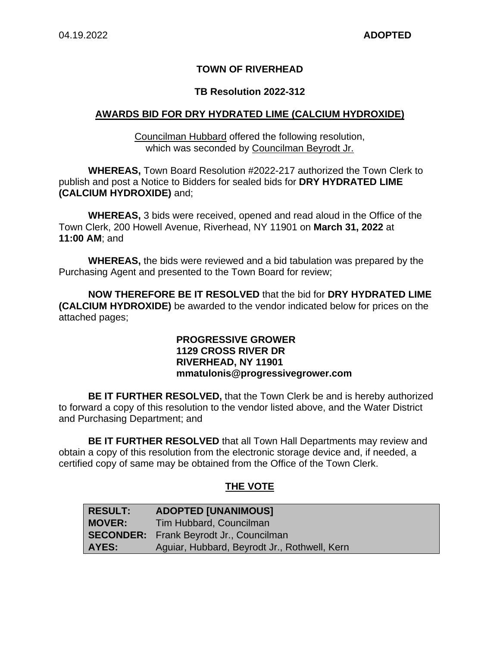## **TOWN OF RIVERHEAD**

#### **TB Resolution 2022-312**

#### **AWARDS BID FOR DRY HYDRATED LIME (CALCIUM HYDROXIDE)**

Councilman Hubbard offered the following resolution, which was seconded by Councilman Beyrodt Jr.

**WHEREAS,** Town Board Resolution #2022-217 authorized the Town Clerk to publish and post a Notice to Bidders for sealed bids for **DRY HYDRATED LIME (CALCIUM HYDROXIDE)** and;

**WHEREAS,** 3 bids were received, opened and read aloud in the Office of the Town Clerk, 200 Howell Avenue, Riverhead, NY 11901 on **March 31, 2022** at **11:00 AM**; and

**WHEREAS,** the bids were reviewed and a bid tabulation was prepared by the Purchasing Agent and presented to the Town Board for review;

**NOW THEREFORE BE IT RESOLVED** that the bid for **DRY HYDRATED LIME (CALCIUM HYDROXIDE)** be awarded to the vendor indicated below for prices on the attached pages;

#### **PROGRESSIVE GROWER 1129 CROSS RIVER DR RIVERHEAD, NY 11901 mmatulonis@progressivegrower.com**

**BE IT FURTHER RESOLVED,** that the Town Clerk be and is hereby authorized to forward a copy of this resolution to the vendor listed above, and the Water District and Purchasing Department; and

**BE IT FURTHER RESOLVED** that all Town Hall Departments may review and obtain a copy of this resolution from the electronic storage device and, if needed, a certified copy of same may be obtained from the Office of the Town Clerk.

### **THE VOTE**

| <b>RESULT:</b> | <b>ADOPTED [UNANIMOUS]</b>                     |
|----------------|------------------------------------------------|
| <b>MOVER:</b>  | Tim Hubbard, Councilman                        |
|                | <b>SECONDER:</b> Frank Beyrodt Jr., Councilman |
| AYES:          | Aguiar, Hubbard, Beyrodt Jr., Rothwell, Kern   |